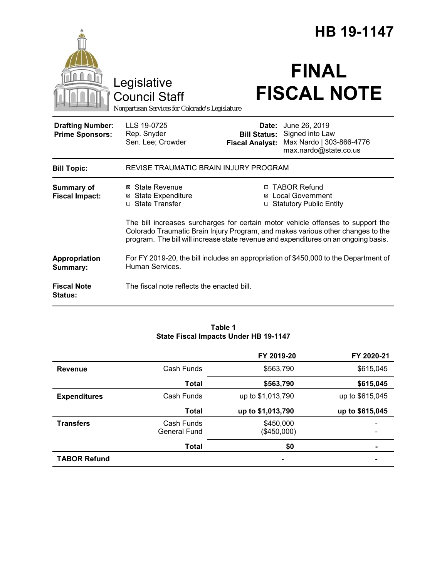|                                                   |                                                                                                                                                                                                                                                           |                                                        | HB 19-1147                                                                            |  |
|---------------------------------------------------|-----------------------------------------------------------------------------------------------------------------------------------------------------------------------------------------------------------------------------------------------------------|--------------------------------------------------------|---------------------------------------------------------------------------------------|--|
|                                                   | Legislative<br><b>Council Staff</b><br>Nonpartisan Services for Colorado's Legislature                                                                                                                                                                    |                                                        | <b>FINAL</b><br><b>FISCAL NOTE</b>                                                    |  |
| <b>Drafting Number:</b><br><b>Prime Sponsors:</b> | LLS 19-0725<br>Rep. Snyder<br>Sen. Lee; Crowder                                                                                                                                                                                                           | Date:<br><b>Bill Status:</b><br><b>Fiscal Analyst:</b> | June 26, 2019<br>Signed into Law<br>Max Nardo   303-866-4776<br>max.nardo@state.co.us |  |
| <b>Bill Topic:</b>                                | REVISE TRAUMATIC BRAIN INJURY PROGRAM                                                                                                                                                                                                                     |                                                        |                                                                                       |  |
| <b>Summary of</b><br><b>Fiscal Impact:</b>        | ⊠ State Revenue<br><b>State Expenditure</b><br>⊠<br>□ State Transfer                                                                                                                                                                                      | ⊠                                                      | □ TABOR Refund<br><b>Local Government</b><br>□ Statutory Public Entity                |  |
|                                                   | The bill increases surcharges for certain motor vehicle offenses to support the<br>Colorado Traumatic Brain Injury Program, and makes various other changes to the<br>program. The bill will increase state revenue and expenditures on an ongoing basis. |                                                        |                                                                                       |  |
| Appropriation<br>Summary:                         | For FY 2019-20, the bill includes an appropriation of \$450,000 to the Department of<br>Human Services.                                                                                                                                                   |                                                        |                                                                                       |  |
| <b>Fiscal Note</b><br><b>Status:</b>              | The fiscal note reflects the enacted bill.                                                                                                                                                                                                                |                                                        |                                                                                       |  |

#### **Table 1 State Fiscal Impacts Under HB 19-1147**

|                     |                            | FY 2019-20               | FY 2020-21      |
|---------------------|----------------------------|--------------------------|-----------------|
| <b>Revenue</b>      | Cash Funds                 | \$563,790                | \$615,045       |
|                     | Total                      | \$563,790                | \$615,045       |
| <b>Expenditures</b> | Cash Funds                 | up to \$1,013,790        | up to \$615,045 |
|                     | <b>Total</b>               | up to \$1,013,790        | up to \$615,045 |
| <b>Transfers</b>    | Cash Funds<br>General Fund | \$450,000<br>(\$450,000) |                 |
|                     | <b>Total</b>               | \$0                      |                 |
| <b>TABOR Refund</b> |                            |                          |                 |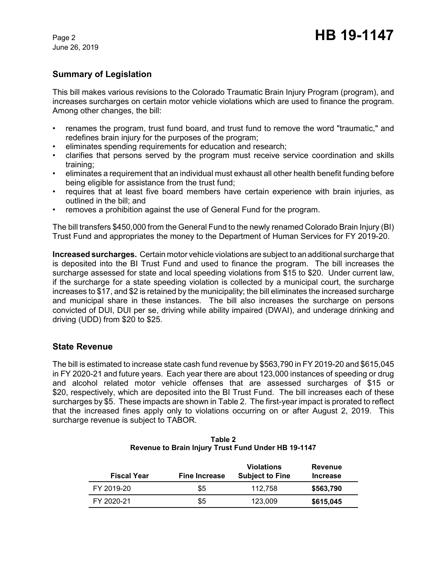June 26, 2019

# **Summary of Legislation**

This bill makes various revisions to the Colorado Traumatic Brain Injury Program (program), and increases surcharges on certain motor vehicle violations which are used to finance the program. Among other changes, the bill:

- renames the program, trust fund board, and trust fund to remove the word "traumatic," and redefines brain injury for the purposes of the program;
- eliminates spending requirements for education and research;
- clarifies that persons served by the program must receive service coordination and skills training;
- eliminates a requirement that an individual must exhaust all other health benefit funding before being eligible for assistance from the trust fund;
- requires that at least five board members have certain experience with brain injuries, as outlined in the bill; and
- removes a prohibition against the use of General Fund for the program.

The bill transfers \$450,000 from the General Fund to the newly renamed Colorado Brain Injury (BI) Trust Fund and appropriates the money to the Department of Human Services for FY 2019-20.

**Increased surcharges.** Certain motor vehicle violations are subject to an additional surcharge that is deposited into the BI Trust Fund and used to finance the program. The bill increases the surcharge assessed for state and local speeding violations from \$15 to \$20. Under current law, if the surcharge for a state speeding violation is collected by a municipal court, the surcharge increases to \$17, and \$2 is retained by the municipality; the bill eliminates the increased surcharge and municipal share in these instances. The bill also increases the surcharge on persons convicted of DUI, DUI per se, driving while ability impaired (DWAI), and underage drinking and driving (UDD) from \$20 to \$25.

## **State Revenue**

The bill is estimated to increase state cash fund revenue by \$563,790 in FY 2019-20 and \$615,045 in FY 2020-21 and future years. Each year there are about 123,000 instances of speeding or drug and alcohol related motor vehicle offenses that are assessed surcharges of \$15 or \$20, respectively, which are deposited into the BI Trust Fund. The bill increases each of these surcharges by \$5. These impacts are shown in Table 2. The first-year impact is prorated to reflect that the increased fines apply only to violations occurring on or after August 2, 2019. This surcharge revenue is subject to TABOR.

| <b>Fiscal Year</b> | <b>Fine Increase</b> | <b>Violations</b><br><b>Subject to Fine</b> | <b>Revenue</b><br><b>Increase</b> |
|--------------------|----------------------|---------------------------------------------|-----------------------------------|
| FY 2019-20         | \$5                  | 112.758                                     | \$563,790                         |
| FY 2020-21         | \$5                  | 123.009                                     | \$615,045                         |

| Table 2                                             |  |  |  |  |
|-----------------------------------------------------|--|--|--|--|
| Revenue to Brain Injury Trust Fund Under HB 19-1147 |  |  |  |  |